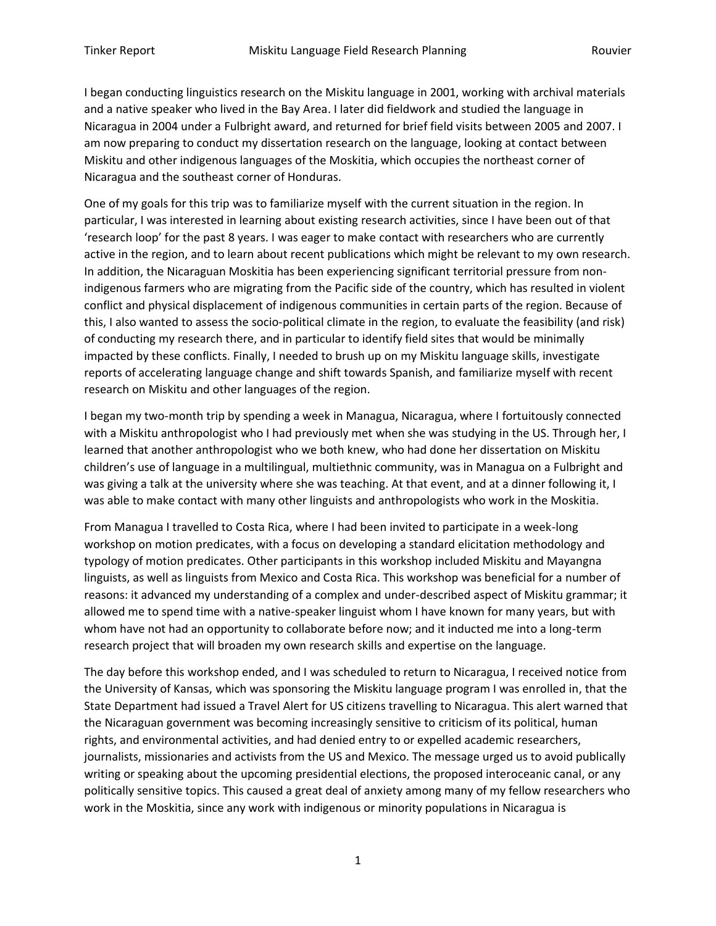I began conducting linguistics research on the Miskitu language in 2001, working with archival materials and a native speaker who lived in the Bay Area. I later did fieldwork and studied the language in Nicaragua in 2004 under a Fulbright award, and returned for brief field visits between 2005 and 2007. I am now preparing to conduct my dissertation research on the language, looking at contact between Miskitu and other indigenous languages of the Moskitia, which occupies the northeast corner of Nicaragua and the southeast corner of Honduras.

One of my goals for this trip was to familiarize myself with the current situation in the region. In particular, I was interested in learning about existing research activities, since I have been out of that 'research loop' for the past 8 years. I was eager to make contact with researchers who are currently active in the region, and to learn about recent publications which might be relevant to my own research. In addition, the Nicaraguan Moskitia has been experiencing significant territorial pressure from nonindigenous farmers who are migrating from the Pacific side of the country, which has resulted in violent conflict and physical displacement of indigenous communities in certain parts of the region. Because of this, I also wanted to assess the socio-political climate in the region, to evaluate the feasibility (and risk) of conducting my research there, and in particular to identify field sites that would be minimally impacted by these conflicts. Finally, I needed to brush up on my Miskitu language skills, investigate reports of accelerating language change and shift towards Spanish, and familiarize myself with recent research on Miskitu and other languages of the region.

I began my two-month trip by spending a week in Managua, Nicaragua, where I fortuitously connected with a Miskitu anthropologist who I had previously met when she was studying in the US. Through her, I learned that another anthropologist who we both knew, who had done her dissertation on Miskitu children's use of language in a multilingual, multiethnic community, was in Managua on a Fulbright and was giving a talk at the university where she was teaching. At that event, and at a dinner following it, I was able to make contact with many other linguists and anthropologists who work in the Moskitia.

From Managua I travelled to Costa Rica, where I had been invited to participate in a week-long workshop on motion predicates, with a focus on developing a standard elicitation methodology and typology of motion predicates. Other participants in this workshop included Miskitu and Mayangna linguists, as well as linguists from Mexico and Costa Rica. This workshop was beneficial for a number of reasons: it advanced my understanding of a complex and under-described aspect of Miskitu grammar; it allowed me to spend time with a native-speaker linguist whom I have known for many years, but with whom have not had an opportunity to collaborate before now; and it inducted me into a long-term research project that will broaden my own research skills and expertise on the language.

The day before this workshop ended, and I was scheduled to return to Nicaragua, I received notice from the University of Kansas, which was sponsoring the Miskitu language program I was enrolled in, that the State Department had issued a Travel Alert for US citizens travelling to Nicaragua. This alert warned that the Nicaraguan government was becoming increasingly sensitive to criticism of its political, human rights, and environmental activities, and had denied entry to or expelled academic researchers, journalists, missionaries and activists from the US and Mexico. The message urged us to avoid publically writing or speaking about the upcoming presidential elections, the proposed interoceanic canal, or any politically sensitive topics. This caused a great deal of anxiety among many of my fellow researchers who work in the Moskitia, since any work with indigenous or minority populations in Nicaragua is